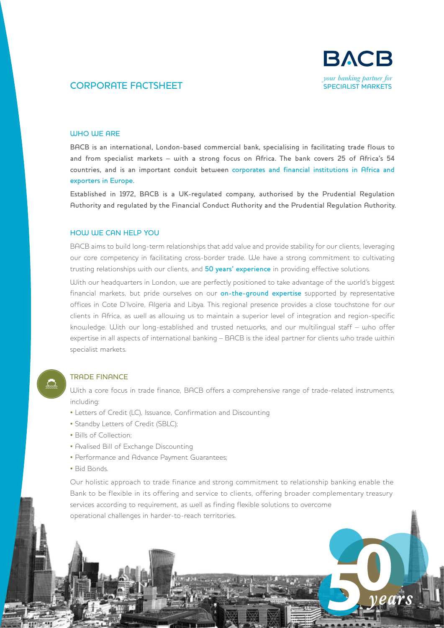

ears

# CORPORATE FACTSHEET

#### WHO WE ARE

BACB is an international, London-based commercial bank, specialising in facilitating trade flows to and from specialist markets – with a strong focus on Africa. The bank covers 25 of Africa's 54 countries, and is an important conduit between corporates and financial institutions in Africa and exporters in Europe.

Established in 1972, BACB is a UK-regulated company, authorised by the Prudential Regulation Authority and regulated by the Financial Conduct Authority and the Prudential Regulation Authority.

## HOW WE CAN HELP YOU

BACB aims to build long-term relationships that add value and provide stability for our clients, leveraging our core competency in facilitating cross-border trade. We have a strong commitment to cultivating trusting relationships with our clients, and 50 years' experience in providing effective solutions.

With our headquarters in London, we are perfectly positioned to take advantage of the world's biggest financial markets, but pride ourselves on our on-the-ground expertise supported by representative offices in Cote D'Ivoire, Algeria and Libya. This regional presence provides a close touchstone for our clients in Africa, as well as allowing us to maintain a superior level of integration and region-specific knowledge. With our long-established and trusted networks, and our multilingual staff – who offer expertise in all aspects of international banking – BACB is the ideal partner for clients who trade within specialist markets.

### TRADE FINANCE

With a core focus in trade finance, BACB offers a comprehensive range of trade-related instruments, including:

- Letters of Credit (LC), Issuance, Confirmation and Discounting
- Standby Letters of Credit (SBLC);
- Bills of Collection;
- Avalised Bill of Exchange Discounting
- Performance and Advance Payment Guarantees;
- Bid Bonds.

Our holistic approach to trade finance and strong commitment to relationship banking enable the Bank to be flexible in its offering and service to clients, offering broader complementary treasury services according to requirement, as well as finding flexible solutions to overcome operational challenges in harder-to-reach territories.